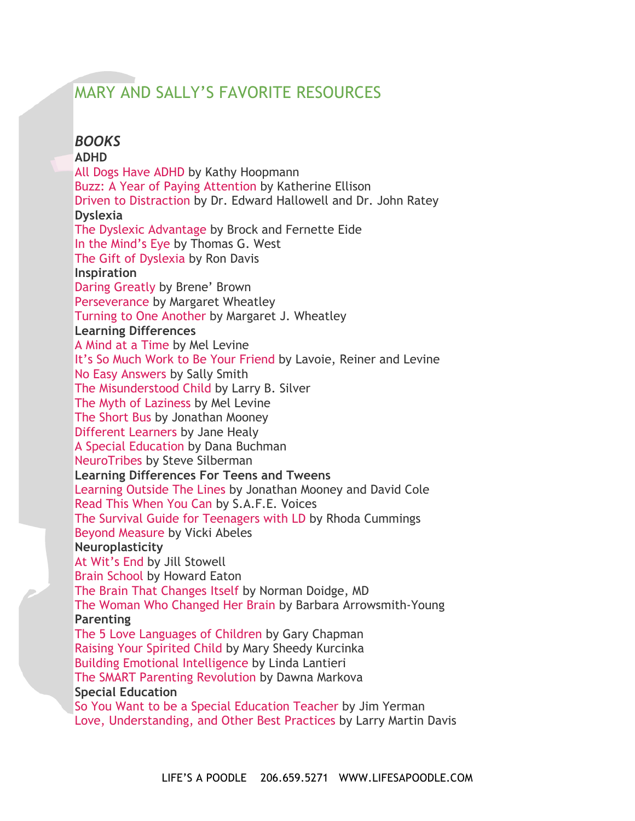# MARY AND SALLY'S FAVORITE RESOURCES

*BOOKS* **ADHD** All Dogs Have ADHD by Kathy Hoopmann Buzz: A Year of Paying Attention by Katherine Ellison Driven to Distraction by Dr. Edward Hallowell and Dr. John Ratey **Dyslexia** The Dyslexic Advantage by Brock and Fernette Eide In the Mind's Eye by Thomas G. West The Gift of Dyslexia by Ron Davis **Inspiration** Daring Greatly by Brene' Brown Perseverance by Margaret Wheatley Turning to One Another by Margaret J. Wheatley **Learning Differences** A Mind at a Time by Mel Levine It's So Much Work to Be Your Friend by Lavoie, Reiner and Levine No Easy Answers by Sally Smith The Misunderstood Child by Larry B. Silver The Myth of Laziness by Mel Levine The Short Bus by Jonathan Mooney Different Learners by Jane Healy A Special Education by Dana Buchman NeuroTribes by Steve Silberman **Learning Differences For Teens and Tweens** Learning Outside The Lines by Jonathan Mooney and David Cole Read This When You Can by S.A.F.E. Voices The Survival Guide for Teenagers with LD by Rhoda Cummings Beyond Measure by Vicki Abeles **Neuroplasticity** At Wit's End by Jill Stowell Brain School by Howard Eaton The Brain That Changes Itself by Norman Doidge, MD The Woman Who Changed Her Brain by Barbara Arrowsmith-Young **Parenting** The 5 Love Languages of Children by Gary Chapman Raising Your Spirited Child by Mary Sheedy Kurcinka Building Emotional Intelligence by Linda Lantieri The SMART Parenting Revolution by Dawna Markova **Special Education** So You Want to be a Special Education Teacher by Jim Yerman Love, Understanding, and Other Best Practices by Larry Martin Davis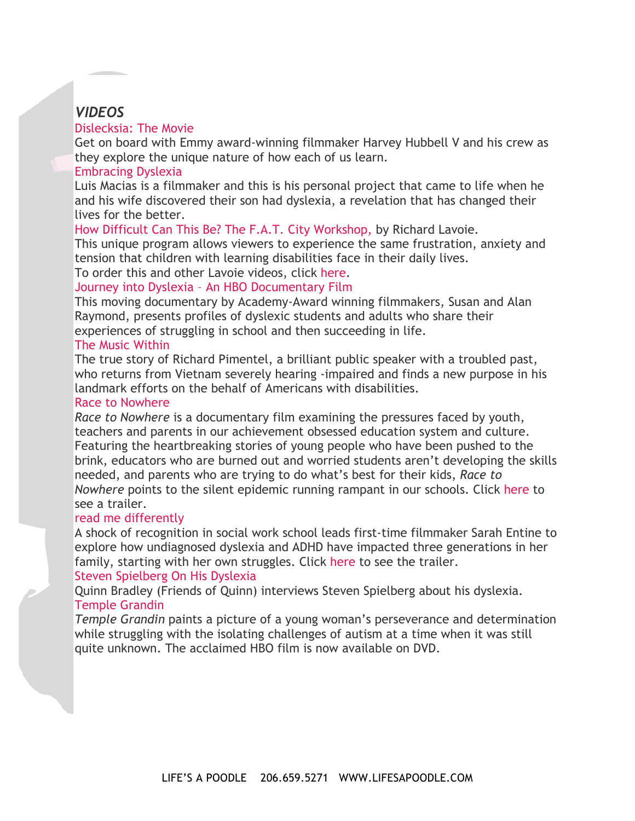# *VIDEOS*

#### Dislecksia: The Movie

Get on board with Emmy award-winning filmmaker Harvey Hubbell V and his crew as they explore the unique nature of how each of us learn.

#### Embracing Dyslexia

Luis Macias is a filmmaker and this is his personal project that came to life when he and his wife discovered their son had dyslexia, a revelation that has changed their lives for the better.

How Difficult Can This Be? The F.A.T. City Workshop, by Richard Lavoie.

This unique program allows viewers to experience the same frustration, anxiety and tension that children with learning disabilities face in their daily lives.

To order this and other Lavoie videos, click here.

#### Journey into Dyslexia – An HBO Documentary Film

This moving documentary by Academy-Award winning filmmakers, Susan and Alan Raymond, presents profiles of dyslexic students and adults who share their experiences of struggling in school and then succeeding in life.

#### The Music Within

The true story of Richard Pimentel, a brilliant public speaker with a troubled past, who returns from Vietnam severely hearing -impaired and finds a new purpose in his landmark efforts on the behalf of Americans with disabilities.

#### Race to Nowhere

*Race to Nowhere* is a documentary film examining the pressures faced by youth, teachers and parents in our achievement obsessed education system and culture. Featuring the heartbreaking stories of young people who have been pushed to the brink, educators who are burned out and worried students aren't developing the skills needed, and parents who are trying to do what's best for their kids, *Race to Nowhere* points to the silent epidemic running rampant in our schools. Click here to see a trailer.

#### read me differently

A shock of recognition in social work school leads first-time filmmaker Sarah Entine to explore how undiagnosed dyslexia and ADHD have impacted three generations in her family, starting with her own struggles. Click here to see the trailer. Steven Spielberg On His Dyslexia

Quinn Bradley (Friends of Quinn) interviews Steven Spielberg about his dyslexia.

#### Temple Grandin

*Temple Grandin* paints a picture of a young woman's perseverance and determination while struggling with the isolating challenges of autism at a time when it was still quite unknown. The acclaimed HBO film is now available on DVD.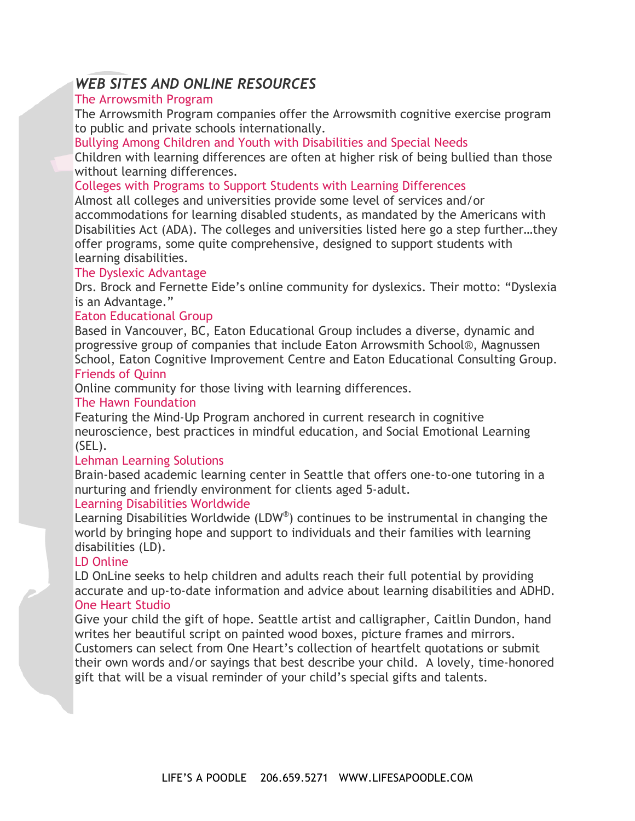# *WEB SITES AND ONLINE RESOURCES*

# The Arrowsmith Program

The Arrowsmith Program companies offer the Arrowsmith cognitive exercise program to public and private schools internationally.

Bullying Among Children and Youth with Disabilities and Special Needs

Children with learning differences are often at higher risk of being bullied than those without learning differences.

### Colleges with Programs to Support Students with Learning Differences

Almost all colleges and universities provide some level of services and/or accommodations for learning disabled students, as mandated by the Americans with Disabilities Act (ADA). The colleges and universities listed here go a step further…they offer programs, some quite comprehensive, designed to support students with learning disabilities.

#### The Dyslexic Advantage

Drs. Brock and Fernette Eide's online community for dyslexics. Their motto: "Dyslexia is an Advantage."

#### Eaton Educational Group

Based in Vancouver, BC, Eaton Educational Group includes a diverse, dynamic and progressive group of companies that include Eaton Arrowsmith School®, Magnussen School, Eaton Cognitive Improvement Centre and Eaton Educational Consulting Group. Friends of Quinn

Online community for those living with learning differences.

#### The Hawn Foundation

Featuring the Mind-Up Program anchored in current research in cognitive neuroscience, best practices in mindful education, and Social Emotional Learning (SEL).

#### Lehman Learning Solutions

Brain-based academic learning center in Seattle that offers one-to-one tutoring in a nurturing and friendly environment for clients aged 5-adult.

## Learning Disabilities Worldwide

Learning Disabilities Worldwide (LDW®) continues to be instrumental in changing the world by bringing hope and support to individuals and their families with learning disabilities (LD).

## LD Online

LD OnLine seeks to help children and adults reach their full potential by providing accurate and up-to-date information and advice about learning disabilities and ADHD. One Heart Studio

Give your child the gift of hope. Seattle artist and calligrapher, Caitlin Dundon, hand writes her beautiful script on painted wood boxes, picture frames and mirrors. Customers can select from One Heart's collection of heartfelt quotations or submit their own words and/or sayings that best describe your child. A lovely, time-honored gift that will be a visual reminder of your child's special gifts and talents.